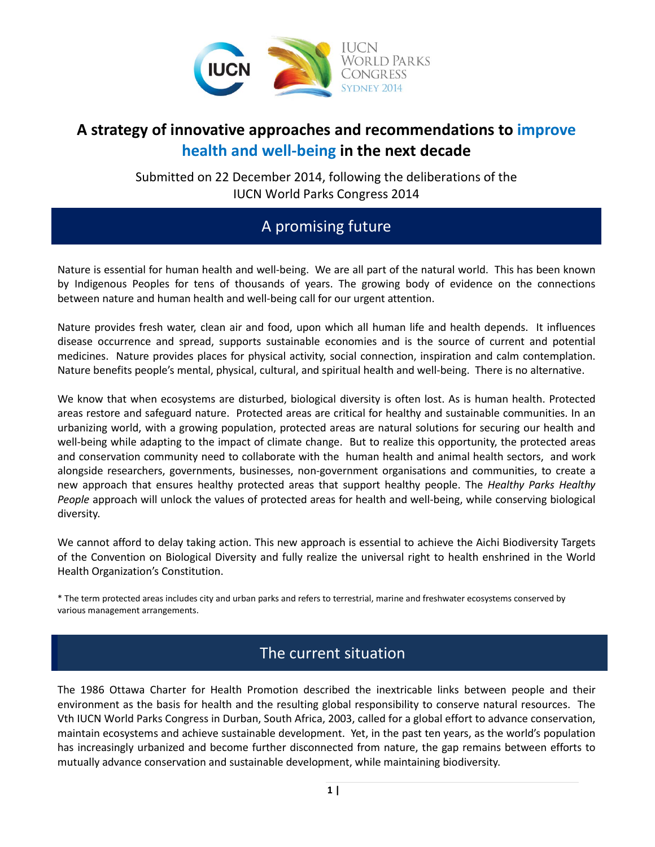

## **A strategy of innovative approaches and recommendations to improve health and well-being in the next decade**

Submitted on 22 December 2014, following the deliberations of the IUCN World Parks Congress 2014

# A promising future

Nature is essential for human health and well-being. We are all part of the natural world. This has been known by Indigenous Peoples for tens of thousands of years. The growing body of evidence on the connections between nature and human health and well-being call for our urgent attention.

Nature provides fresh water, clean air and food, upon which all human life and health depends. It influences disease occurrence and spread, supports sustainable economies and is the source of current and potential medicines. Nature provides places for physical activity, social connection, inspiration and calm contemplation. Nature benefits people's mental, physical, cultural, and spiritual health and well-being. There is no alternative.

We know that when ecosystems are disturbed, biological diversity is often lost. As is human health. Protected areas restore and safeguard nature. Protected areas are critical for healthy and sustainable communities. In an urbanizing world, with a growing population, protected areas are natural solutions for securing our health and well-being while adapting to the impact of climate change. But to realize this opportunity, the protected areas and conservation community need to collaborate with the human health and animal health sectors, and work alongside researchers, governments, businesses, non-government organisations and communities, to create a new approach that ensures healthy protected areas that support healthy people. The *Healthy Parks Healthy People* approach will unlock the values of protected areas for health and well-being, while conserving biological diversity.

We cannot afford to delay taking action. This new approach is essential to achieve the Aichi Biodiversity Targets of the Convention on Biological Diversity and fully realize the universal right to health enshrined in the World Health Organization's Constitution.

\* The term protected areas includes city and urban parks and refers to terrestrial, marine and freshwater ecosystems conserved by various management arrangements.

### The current situation

The 1986 Ottawa Charter for Health Promotion described the inextricable links between people and their environment as the basis for health and the resulting global responsibility to conserve natural resources. The Vth IUCN World Parks Congress in Durban, South Africa, 2003, called for a global effort to advance conservation, maintain ecosystems and achieve sustainable development. Yet, in the past ten years, as the world's population has increasingly urbanized and become further disconnected from nature, the gap remains between efforts to mutually advance conservation and sustainable development, while maintaining biodiversity.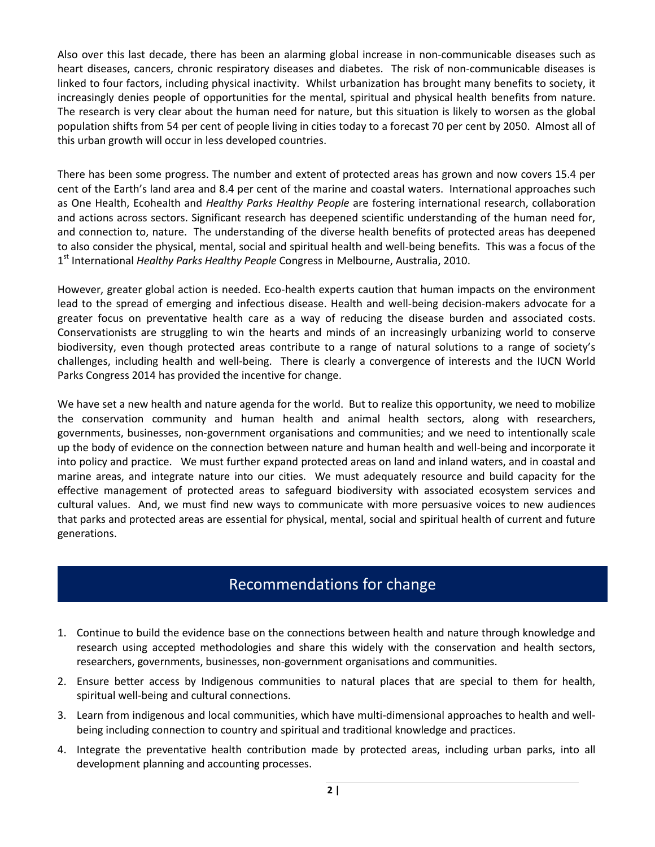Also over this last decade, there has been an alarming global increase in non-communicable diseases such as heart diseases, cancers, chronic respiratory diseases and diabetes. The risk of non-communicable diseases is linked to four factors, including physical inactivity. Whilst urbanization has brought many benefits to society, it increasingly denies people of opportunities for the mental, spiritual and physical health benefits from nature. The research is very clear about the human need for nature, but this situation is likely to worsen as the global population shifts from 54 per cent of people living in cities today to a forecast 70 per cent by 2050. Almost all of this urban growth will occur in less developed countries.

There has been some progress. The number and extent of protected areas has grown and now covers 15.4 per cent of the Earth's land area and 8.4 per cent of the marine and coastal waters. International approaches such as One Health, Ecohealth and *Healthy Parks Healthy People* are fostering international research, collaboration and actions across sectors. Significant research has deepened scientific understanding of the human need for, and connection to, nature. The understanding of the diverse health benefits of protected areas has deepened to also consider the physical, mental, social and spiritual health and well-being benefits. This was a focus of the 1st International *Healthy Parks Healthy People* Congress in Melbourne, Australia, 2010.

However, greater global action is needed. Eco-health experts caution that human impacts on the environment lead to the spread of emerging and infectious disease. Health and well-being decision-makers advocate for a greater focus on preventative health care as a way of reducing the disease burden and associated costs. Conservationists are struggling to win the hearts and minds of an increasingly urbanizing world to conserve biodiversity, even though protected areas contribute to a range of natural solutions to a range of society's challenges, including health and well-being. There is clearly a convergence of interests and the IUCN World Parks Congress 2014 has provided the incentive for change.

We have set a new health and nature agenda for the world. But to realize this opportunity, we need to mobilize the conservation community and human health and animal health sectors, along with researchers, governments, businesses, non-government organisations and communities; and we need to intentionally scale up the body of evidence on the connection between nature and human health and well-being and incorporate it into policy and practice. We must further expand protected areas on land and inland waters, and in coastal and marine areas, and integrate nature into our cities. We must adequately resource and build capacity for the effective management of protected areas to safeguard biodiversity with associated ecosystem services and cultural values. And, we must find new ways to communicate with more persuasive voices to new audiences that parks and protected areas are essential for physical, mental, social and spiritual health of current and future generations.

#### Recommendations for change

- 1. Continue to build the evidence base on the connections between health and nature through knowledge and research using accepted methodologies and share this widely with the conservation and health sectors, researchers, governments, businesses, non-government organisations and communities.
- 2. Ensure better access by Indigenous communities to natural places that are special to them for health, spiritual well-being and cultural connections.
- 3. Learn from indigenous and local communities, which have multi-dimensional approaches to health and wellbeing including connection to country and spiritual and traditional knowledge and practices.
- 4. Integrate the preventative health contribution made by protected areas, including urban parks, into all development planning and accounting processes.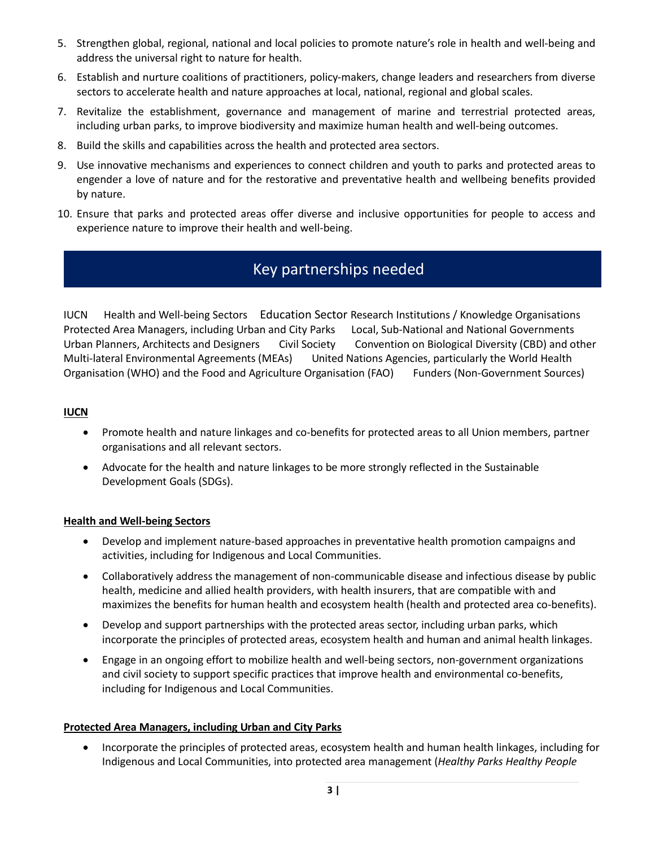- 5. Strengthen global, regional, national and local policies to promote nature's role in health and well-being and address the universal right to nature for health.
- 6. Establish and nurture coalitions of practitioners, policy-makers, change leaders and researchers from diverse sectors to accelerate health and nature approaches at local, national, regional and global scales.
- 7. Revitalize the establishment, governance and management of marine and terrestrial protected areas, including urban parks, to improve biodiversity and maximize human health and well-being outcomes.
- 8. Build the skills and capabilities across the health and protected area sectors.
- 9. Use innovative mechanisms and experiences to connect children and youth to parks and protected areas to engender a love of nature and for the restorative and preventative health and wellbeing benefits provided by nature.
- 10. Ensure that parks and protected areas offer diverse and inclusive opportunities for people to access and experience nature to improve their health and well-being.

### Key partnerships needed

IUCN Health and Well-being Sectors Education Sector Research Institutions / Knowledge Organisations Protected Area Managers, including Urban and City Parks Local, Sub-National and National Governments Urban Planners, Architects and Designers Civil Society Convention on Biological Diversity (CBD) and other Multi-lateral Environmental Agreements (MEAs) United Nations Agencies, particularly the World Health Organisation (WHO) and the Food and Agriculture Organisation (FAO) Funders (Non-Government Sources)

#### **IUCN**

- Promote health and nature linkages and co-benefits for protected areas to all Union members, partner organisations and all relevant sectors.
- Advocate for the health and nature linkages to be more strongly reflected in the Sustainable Development Goals (SDGs).

#### **Health and Well-being Sectors**

- Develop and implement nature-based approaches in preventative health promotion campaigns and activities, including for Indigenous and Local Communities.
- Collaboratively address the management of non-communicable disease and infectious disease by public health, medicine and allied health providers, with health insurers, that are compatible with and maximizes the benefits for human health and ecosystem health (health and protected area co-benefits).
- Develop and support partnerships with the protected areas sector, including urban parks, which incorporate the principles of protected areas, ecosystem health and human and animal health linkages.
- Engage in an ongoing effort to mobilize health and well-being sectors, non-government organizations and civil society to support specific practices that improve health and environmental co-benefits, including for Indigenous and Local Communities.

#### **Protected Area Managers, including Urban and City Parks**

• Incorporate the principles of protected areas, ecosystem health and human health linkages, including for Indigenous and Local Communities, into protected area management (*Healthy Parks Healthy People*